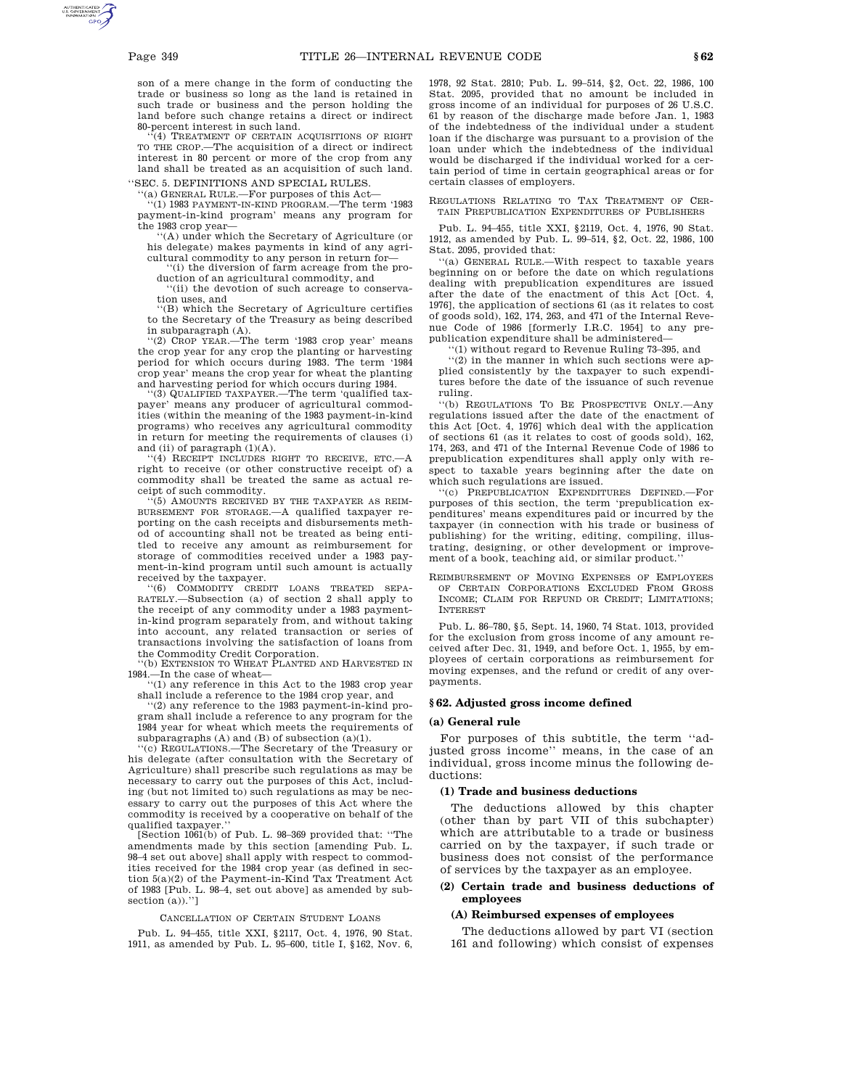son of a mere change in the form of conducting the trade or business so long as the land is retained in such trade or business and the person holding the land before such change retains a direct or indirect 80-percent interest in such land.

(4) TREATMENT OF CERTAIN ACQUISITIONS OF RIGHT TO THE CROP.—The acquisition of a direct or indirect interest in 80 percent or more of the crop from any land shall be treated as an acquisition of such land. ''SEC. 5. DEFINITIONS AND SPECIAL RULES.

''(a) GENERAL RULE.—For purposes of this Act—

''(1) 1983 PAYMENT-IN-KIND PROGRAM.—The term '1983 payment-in-kind program' means any program for

the 1983 crop year— ''(A) under which the Secretary of Agriculture (or his delegate) makes payments in kind of any agricultural commodity to any person in return for—

''(i) the diversion of farm acreage from the pro-

duction of an agricultural commodity, and ''(ii) the devotion of such acreage to conserva-

tion uses, and ''(B) which the Secretary of Agriculture certifies to the Secretary of the Treasury as being described in subparagraph (A).

(2) CROP YEAR.—The term '1983 crop year' means the crop year for any crop the planting or harvesting period for which occurs during 1983. The term '1984 crop year' means the crop year for wheat the planting and harvesting period for which occurs during 1984.

''(3) QUALIFIED TAXPAYER.—The term 'qualified taxpayer' means any producer of agricultural commodities (within the meaning of the 1983 payment-in-kind programs) who receives any agricultural commodity in return for meeting the requirements of clauses (i) and (ii) of paragraph (1)(A).

''(4) RECEIPT INCLUDES RIGHT TO RECEIVE, ETC.—A right to receive (or other constructive receipt of) a commodity shall be treated the same as actual receipt of such commodity.

 $(5)$  AMOUNTS RECEIVED BY THE TAXPAYER AS REIM-BURSEMENT FOR STORAGE.—A qualified taxpayer reporting on the cash receipts and disbursements method of accounting shall not be treated as being entitled to receive any amount as reimbursement for storage of commodities received under a 1983 payment-in-kind program until such amount is actually received by the taxpayer.

'(6) COMMODITY CREDIT LOANS TREATED SEPA-RATELY.—Subsection (a) of section 2 shall apply to the receipt of any commodity under a 1983 paymentin-kind program separately from, and without taking into account, any related transaction or series of transactions involving the satisfaction of loans from

the Commodity Credit Corporation. ''(b) EXTENSION TO WHEAT PLANTED AND HARVESTED IN 1984.—In the case of wheat—

''(1) any reference in this Act to the 1983 crop year shall include a reference to the 1984 crop year, and

''(2) any reference to the 1983 payment-in-kind program shall include a reference to any program for the 1984 year for wheat which meets the requirements of subparagraphs (A) and (B) of subsection (a)(1).

''(c) REGULATIONS.—The Secretary of the Treasury or his delegate (after consultation with the Secretary of Agriculture) shall prescribe such regulations as may be necessary to carry out the purposes of this Act, including (but not limited to) such regulations as may be necessary to carry out the purposes of this Act where the commodity is received by a cooperative on behalf of the qualified taxpayer.''

[Section 1061(b) of Pub. L. 98–369 provided that: ''The amendments made by this section [amending Pub. L. 98–4 set out above] shall apply with respect to commodities received for the 1984 crop year (as defined in section 5(a)(2) of the Payment-in-Kind Tax Treatment Act of 1983 [Pub. L. 98–4, set out above] as amended by subsection (a)).'']

#### CANCELLATION OF CERTAIN STUDENT LOANS

Pub. L. 94–455, title XXI, §2117, Oct. 4, 1976, 90 Stat. 1911, as amended by Pub. L. 95–600, title I, §162, Nov. 6, 1978, 92 Stat. 2810; Pub. L. 99–514, §2, Oct. 22, 1986, 100 Stat. 2095, provided that no amount be included in gross income of an individual for purposes of 26 U.S.C. 61 by reason of the discharge made before Jan. 1, 1983 of the indebtedness of the individual under a student loan if the discharge was pursuant to a provision of the loan under which the indebtedness of the individual would be discharged if the individual worked for a certain period of time in certain geographical areas or for certain classes of employers.

REGULATIONS RELATING TO TAX TREATMENT OF CER-TAIN PREPUBLICATION EXPENDITURES OF PUBLISHERS

Pub. L. 94–455, title XXI, §2119, Oct. 4, 1976, 90 Stat. 1912, as amended by Pub. L. 99–514, §2, Oct. 22, 1986, 100 Stat. 2095, provided that:

''(a) GENERAL RULE.—With respect to taxable years beginning on or before the date on which regulations dealing with prepublication expenditures are issued after the date of the enactment of this Act [Oct. 4, 1976], the application of sections 61 (as it relates to cost of goods sold), 162, 174, 263, and 471 of the Internal Revenue Code of 1986 [formerly I.R.C. 1954] to any prepublication expenditure shall be administered—

''(1) without regard to Revenue Ruling 73–395, and

''(2) in the manner in which such sections were applied consistently by the taxpayer to such expenditures before the date of the issuance of such revenue ruling.

''(b) REGULATIONS TO BE PROSPECTIVE ONLY.—Any regulations issued after the date of the enactment of this Act [Oct. 4, 1976] which deal with the application of sections 61 (as it relates to cost of goods sold), 162, 174, 263, and 471 of the Internal Revenue Code of 1986 to prepublication expenditures shall apply only with respect to taxable years beginning after the date on which such regulations are issued.

''(c) PREPUBLICATION EXPENDITURES DEFINED.—For purposes of this section, the term 'prepublication expenditures' means expenditures paid or incurred by the taxpayer (in connection with his trade or business of publishing) for the writing, editing, compiling, illustrating, designing, or other development or improvement of a book, teaching aid, or similar product.''

REIMBURSEMENT OF MOVING EXPENSES OF EMPLOYEES OF CERTAIN CORPORATIONS EXCLUDED FROM GROSS INCOME; CLAIM FOR REFUND OR CREDIT; LIMITATIONS; INTEREST

Pub. L. 86–780, §5, Sept. 14, 1960, 74 Stat. 1013, provided for the exclusion from gross income of any amount received after Dec. 31, 1949, and before Oct. 1, 1955, by employees of certain corporations as reimbursement for moving expenses, and the refund or credit of any overpayments.

# **§ 62. Adjusted gross income defined**

#### **(a) General rule**

For purposes of this subtitle, the term ''adjusted gross income'' means, in the case of an individual, gross income minus the following deductions:

### **(1) Trade and business deductions**

The deductions allowed by this chapter (other than by part VII of this subchapter) which are attributable to a trade or business carried on by the taxpayer, if such trade or business does not consist of the performance of services by the taxpayer as an employee.

# **(2) Certain trade and business deductions of employees**

#### **(A) Reimbursed expenses of employees**

The deductions allowed by part VI (section 161 and following) which consist of expenses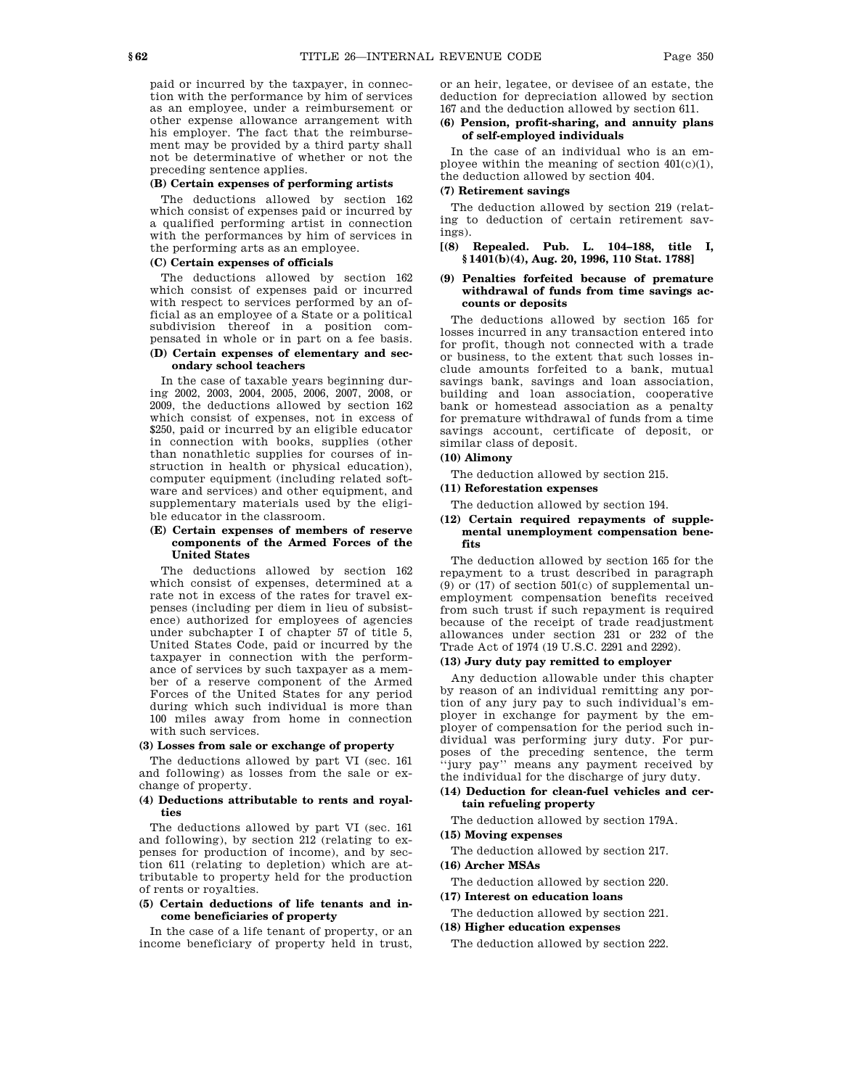paid or incurred by the taxpayer, in connection with the performance by him of services as an employee, under a reimbursement or other expense allowance arrangement with his employer. The fact that the reimbursement may be provided by a third party shall not be determinative of whether or not the preceding sentence applies.

### **(B) Certain expenses of performing artists**

The deductions allowed by section 162 which consist of expenses paid or incurred by a qualified performing artist in connection with the performances by him of services in the performing arts as an employee.

### **(C) Certain expenses of officials**

The deductions allowed by section 162 which consist of expenses paid or incurred with respect to services performed by an official as an employee of a State or a political subdivision thereof in a position compensated in whole or in part on a fee basis.

# **(D) Certain expenses of elementary and secondary school teachers**

In the case of taxable years beginning during 2002, 2003, 2004, 2005, 2006, 2007, 2008, or 2009, the deductions allowed by section 162 which consist of expenses, not in excess of \$250, paid or incurred by an eligible educator in connection with books, supplies (other than nonathletic supplies for courses of instruction in health or physical education), computer equipment (including related software and services) and other equipment, and supplementary materials used by the eligible educator in the classroom.

### **(E) Certain expenses of members of reserve components of the Armed Forces of the United States**

The deductions allowed by section 162 which consist of expenses, determined at a rate not in excess of the rates for travel expenses (including per diem in lieu of subsistence) authorized for employees of agencies under subchapter I of chapter 57 of title 5, United States Code, paid or incurred by the taxpayer in connection with the performance of services by such taxpayer as a member of a reserve component of the Armed Forces of the United States for any period during which such individual is more than 100 miles away from home in connection with such services.

### **(3) Losses from sale or exchange of property**

The deductions allowed by part VI (sec. 161 and following) as losses from the sale or exchange of property.

### **(4) Deductions attributable to rents and royalties**

The deductions allowed by part VI (sec. 161 and following), by section 212 (relating to expenses for production of income), and by section 611 (relating to depletion) which are attributable to property held for the production of rents or royalties.

### **(5) Certain deductions of life tenants and income beneficiaries of property**

In the case of a life tenant of property, or an income beneficiary of property held in trust, or an heir, legatee, or devisee of an estate, the deduction for depreciation allowed by section 167 and the deduction allowed by section 611.

# **(6) Pension, profit-sharing, and annuity plans of self-employed individuals**

In the case of an individual who is an employee within the meaning of section  $401(c)(1)$ , the deduction allowed by section 404.

### **(7) Retirement savings**

The deduction allowed by section 219 (relating to deduction of certain retirement savings).

# **[(8) Repealed. Pub. L. 104–188, title I, § 1401(b)(4), Aug. 20, 1996, 110 Stat. 1788]**

# **(9) Penalties forfeited because of premature withdrawal of funds from time savings accounts or deposits**

The deductions allowed by section 165 for losses incurred in any transaction entered into for profit, though not connected with a trade or business, to the extent that such losses include amounts forfeited to a bank, mutual savings bank, savings and loan association, building and loan association, cooperative bank or homestead association as a penalty for premature withdrawal of funds from a time savings account, certificate of deposit, or similar class of deposit.

# **(10) Alimony**

The deduction allowed by section 215.

# **(11) Reforestation expenses**

The deduction allowed by section 194.

# **(12) Certain required repayments of supplemental unemployment compensation benefits**

The deduction allowed by section 165 for the repayment to a trust described in paragraph  $(9)$  or  $(17)$  of section  $501(c)$  of supplemental unemployment compensation benefits received from such trust if such repayment is required because of the receipt of trade readjustment allowances under section 231 or 232 of the Trade Act of 1974 (19 U.S.C. 2291 and 2292).

# **(13) Jury duty pay remitted to employer**

Any deduction allowable under this chapter by reason of an individual remitting any portion of any jury pay to such individual's employer in exchange for payment by the employer of compensation for the period such individual was performing jury duty. For purposes of the preceding sentence, the term ''jury pay'' means any payment received by the individual for the discharge of jury duty.

# **(14) Deduction for clean-fuel vehicles and certain refueling property**

The deduction allowed by section 179A.

# **(15) Moving expenses**

The deduction allowed by section 217.

### **(16) Archer MSAs**

The deduction allowed by section 220.

# **(17) Interest on education loans**

The deduction allowed by section 221.

**(18) Higher education expenses**

The deduction allowed by section 222.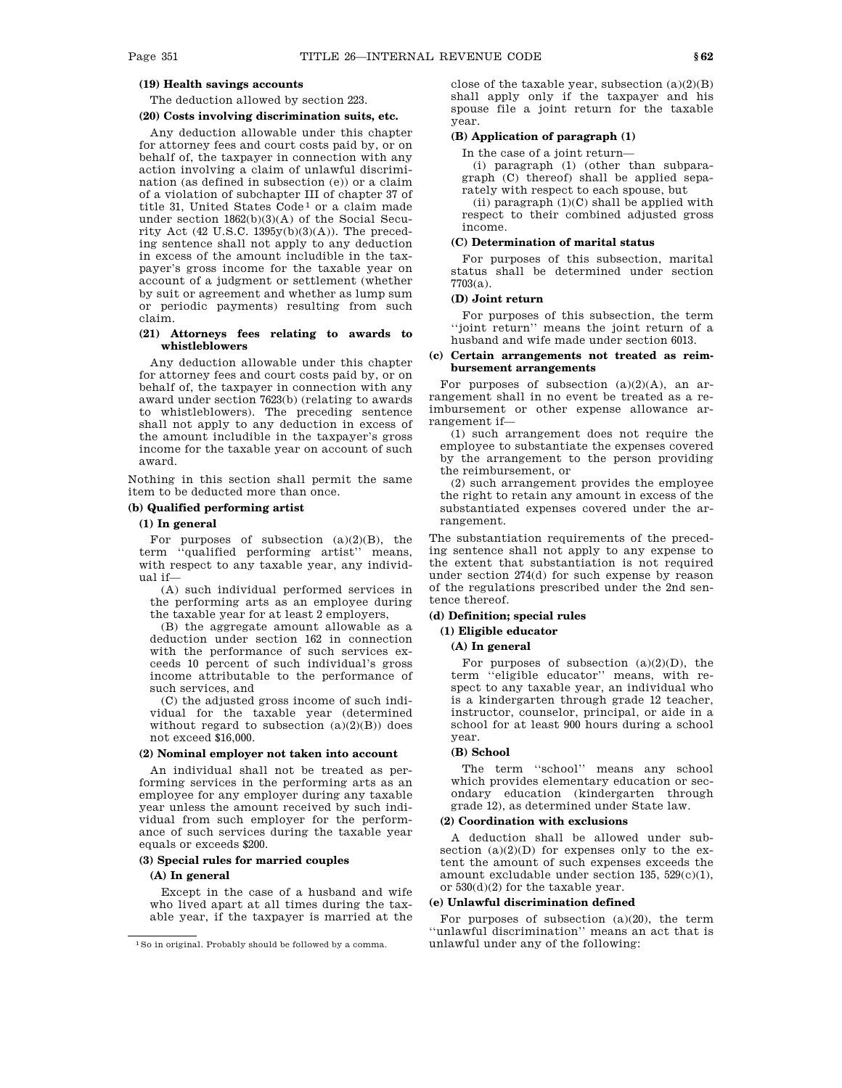# **(19) Health savings accounts**

The deduction allowed by section 223.

# **(20) Costs involving discrimination suits, etc.**

Any deduction allowable under this chapter for attorney fees and court costs paid by, or on behalf of, the taxpayer in connection with any action involving a claim of unlawful discrimination (as defined in subsection (e)) or a claim of a violation of subchapter III of chapter 37 of title 31, United States Code<sup>1</sup> or a claim made under section 1862(b)(3)(A) of the Social Security Act (42 U.S.C. 1395y(b)(3)(A)). The preceding sentence shall not apply to any deduction in excess of the amount includible in the taxpayer's gross income for the taxable year on account of a judgment or settlement (whether by suit or agreement and whether as lump sum or periodic payments) resulting from such claim.

### **(21) Attorneys fees relating to awards to whistleblowers**

Any deduction allowable under this chapter for attorney fees and court costs paid by, or on behalf of, the taxpayer in connection with any award under section 7623(b) (relating to awards to whistleblowers). The preceding sentence shall not apply to any deduction in excess of the amount includible in the taxpayer's gross income for the taxable year on account of such award.

Nothing in this section shall permit the same item to be deducted more than once.

# **(b) Qualified performing artist**

# **(1) In general**

For purposes of subsection  $(a)(2)(B)$ , the term ''qualified performing artist'' means, with respect to any taxable year, any individual if—

(A) such individual performed services in the performing arts as an employee during the taxable year for at least 2 employers,

(B) the aggregate amount allowable as a deduction under section 162 in connection with the performance of such services exceeds 10 percent of such individual's gross income attributable to the performance of such services, and

(C) the adjusted gross income of such individual for the taxable year (determined without regard to subsection  $(a)(2)(B)$  does not exceed \$16,000.

# **(2) Nominal employer not taken into account**

An individual shall not be treated as performing services in the performing arts as an employee for any employer during any taxable year unless the amount received by such individual from such employer for the performance of such services during the taxable year equals or exceeds \$200.

# **(3) Special rules for married couples**

### **(A) In general**

Except in the case of a husband and wife who lived apart at all times during the taxable year, if the taxpayer is married at the close of the taxable year, subsection  $(a)(2)(B)$ shall apply only if the taxpayer and his spouse file a joint return for the taxable year.

### **(B) Application of paragraph (1)**

In the case of a joint return—

(i) paragraph (1) (other than subparagraph (C) thereof) shall be applied separately with respect to each spouse, but

(ii) paragraph  $(1)(C)$  shall be applied with respect to their combined adjusted gross income.

# **(C) Determination of marital status**

For purposes of this subsection, marital status shall be determined under section 7703(a).

### **(D) Joint return**

For purposes of this subsection, the term ''joint return'' means the joint return of a husband and wife made under section 6013.

# **(c) Certain arrangements not treated as reimbursement arrangements**

For purposes of subsection  $(a)(2)(A)$ , an arrangement shall in no event be treated as a reimbursement or other expense allowance arrangement if—

(1) such arrangement does not require the employee to substantiate the expenses covered by the arrangement to the person providing the reimbursement, or

(2) such arrangement provides the employee the right to retain any amount in excess of the substantiated expenses covered under the arrangement.

The substantiation requirements of the preceding sentence shall not apply to any expense to the extent that substantiation is not required under section 274(d) for such expense by reason of the regulations prescribed under the 2nd sentence thereof.

### **(d) Definition; special rules**

**(1) Eligible educator**

### **(A) In general**

For purposes of subsection  $(a)(2)(D)$ , the term ''eligible educator'' means, with respect to any taxable year, an individual who is a kindergarten through grade 12 teacher, instructor, counselor, principal, or aide in a school for at least 900 hours during a school year.

### **(B) School**

The term ''school'' means any school which provides elementary education or secondary education (kindergarten through grade 12), as determined under State law.

### **(2) Coordination with exclusions**

A deduction shall be allowed under subsection  $(a)(2)(D)$  for expenses only to the extent the amount of such expenses exceeds the amount excludable under section 135, 529(c)(1), or 530(d)(2) for the taxable year.

### **(e) Unlawful discrimination defined**

For purposes of subsection  $(a)(20)$ , the term ''unlawful discrimination'' means an act that is unlawful under any of the following:

<sup>1</sup>So in original. Probably should be followed by a comma.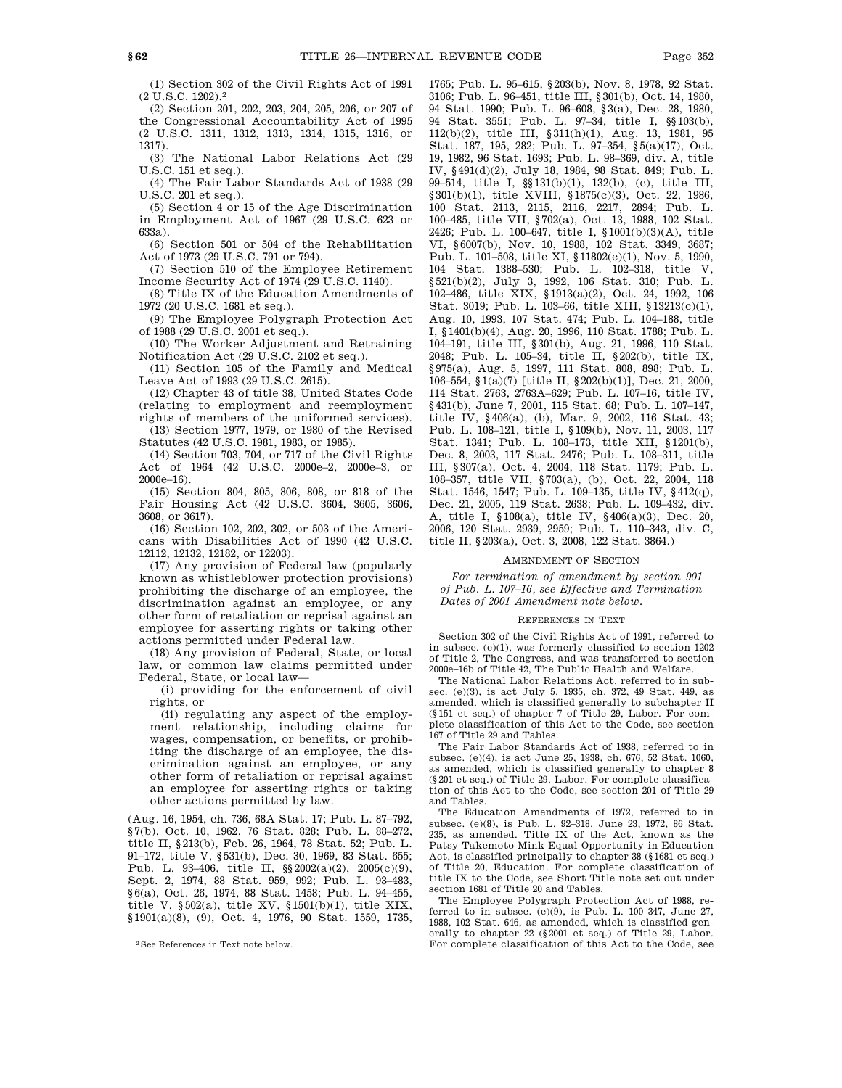(1) Section 302 of the Civil Rights Act of 1991 (2 U.S.C. 1202).2

(2) Section 201, 202, 203, 204, 205, 206, or 207 of the Congressional Accountability Act of 1995 (2 U.S.C. 1311, 1312, 1313, 1314, 1315, 1316, or 1317).

(3) The National Labor Relations Act (29 U.S.C. 151 et seq.).

(4) The Fair Labor Standards Act of 1938 (29 U.S.C. 201 et seq.).

(5) Section 4 or 15 of the Age Discrimination in Employment Act of 1967 (29 U.S.C. 623 or 633a).

(6) Section 501 or 504 of the Rehabilitation Act of 1973 (29 U.S.C. 791 or 794).

(7) Section 510 of the Employee Retirement Income Security Act of 1974 (29 U.S.C. 1140).

(8) Title IX of the Education Amendments of 1972 (20 U.S.C. 1681 et seq.).

(9) The Employee Polygraph Protection Act of 1988 (29 U.S.C. 2001 et seq.).

(10) The Worker Adjustment and Retraining Notification Act (29 U.S.C. 2102 et seq.).

(11) Section 105 of the Family and Medical Leave Act of 1993 (29 U.S.C. 2615).

(12) Chapter 43 of title 38, United States Code (relating to employment and reemployment

rights of members of the uniformed services). (13) Section 1977, 1979, or 1980 of the Revised Statutes (42 U.S.C. 1981, 1983, or 1985).

(14) Section 703, 704, or 717 of the Civil Rights Act of 1964 (42 U.S.C. 2000e–2, 2000e–3, or 2000e–16).

(15) Section 804, 805, 806, 808, or 818 of the Fair Housing Act (42 U.S.C. 3604, 3605, 3606, 3608, or 3617).

(16) Section 102, 202, 302, or 503 of the Americans with Disabilities Act of 1990 (42 U.S.C. 12112, 12132, 12182, or 12203).

(17) Any provision of Federal law (popularly known as whistleblower protection provisions) prohibiting the discharge of an employee, the discrimination against an employee, or any other form of retaliation or reprisal against an employee for asserting rights or taking other actions permitted under Federal law.

(18) Any provision of Federal, State, or local law, or common law claims permitted under Federal, State, or local law—

(i) providing for the enforcement of civil rights, or

(ii) regulating any aspect of the employment relationship, including claims for wages, compensation, or benefits, or prohibiting the discharge of an employee, the discrimination against an employee, or any other form of retaliation or reprisal against an employee for asserting rights or taking other actions permitted by law.

(Aug. 16, 1954, ch. 736, 68A Stat. 17; Pub. L. 87–792, §7(b), Oct. 10, 1962, 76 Stat. 828; Pub. L. 88–272, title II, §213(b), Feb. 26, 1964, 78 Stat. 52; Pub. L. 91–172, title V, §531(b), Dec. 30, 1969, 83 Stat. 655; Pub. L. 93–406, title II, §§2002(a)(2), 2005(c)(9), Sept. 2, 1974, 88 Stat. 959, 992; Pub. L. 93–483, §6(a), Oct. 26, 1974, 88 Stat. 1458; Pub. L. 94–455, title V, §502(a), title XV, §1501(b)(1), title XIX, §1901(a)(8), (9), Oct. 4, 1976, 90 Stat. 1559, 1735, 1765; Pub. L. 95–615, §203(b), Nov. 8, 1978, 92 Stat. 3106; Pub. L. 96–451, title III, §301(b), Oct. 14, 1980, 94 Stat. 1990; Pub. L. 96–608, §3(a), Dec. 28, 1980, 94 Stat. 3551; Pub. L. 97–34, title I, §§103(b), 112(b)(2), title III, §311(h)(1), Aug. 13, 1981, 95 Stat. 187, 195, 282; Pub. L. 97–354, §5(a)(17), Oct. 19, 1982, 96 Stat. 1693; Pub. L. 98–369, div. A, title IV, §491(d)(2), July 18, 1984, 98 Stat. 849; Pub. L. 99–514, title I, §§131(b)(1), 132(b), (c), title III, §301(b)(1), title XVIII, §1875(c)(3), Oct. 22, 1986, 100 Stat. 2113, 2115, 2116, 2217, 2894; Pub. L. 100–485, title VII, §702(a), Oct. 13, 1988, 102 Stat. 2426; Pub. L. 100–647, title I, §1001(b)(3)(A), title VI, §6007(b), Nov. 10, 1988, 102 Stat. 3349, 3687; Pub. L. 101–508, title XI, §11802(e)(1), Nov. 5, 1990, 104 Stat. 1388–530; Pub. L. 102–318, title V, §521(b)(2), July 3, 1992, 106 Stat. 310; Pub. L. 102–486, title XIX, §1913(a)(2), Oct. 24, 1992, 106 Stat. 3019; Pub. L. 103–66, title XIII, §13213(c)(1), Aug. 10, 1993, 107 Stat. 474; Pub. L. 104–188, title I, §1401(b)(4), Aug. 20, 1996, 110 Stat. 1788; Pub. L. 104–191, title III, §301(b), Aug. 21, 1996, 110 Stat. 2048; Pub. L. 105–34, title II, §202(b), title IX, §975(a), Aug. 5, 1997, 111 Stat. 808, 898; Pub. L. 106–554, §1(a)(7) [title II, §202(b)(1)], Dec. 21, 2000, 114 Stat. 2763, 2763A–629; Pub. L. 107–16, title IV, §431(b), June 7, 2001, 115 Stat. 68; Pub. L. 107-147, title IV, §406(a), (b), Mar. 9, 2002, 116 Stat. 43; Pub. L. 108–121, title I, §109(b), Nov. 11, 2003, 117 Stat. 1341; Pub. L. 108–173, title XII, §1201(b), Dec. 8, 2003, 117 Stat. 2476; Pub. L. 108–311, title III, §307(a), Oct. 4, 2004, 118 Stat. 1179; Pub. L. 108–357, title VII, §703(a), (b), Oct. 22, 2004, 118 Stat. 1546, 1547; Pub. L. 109–135, title IV, §412(q), Dec. 21, 2005, 119 Stat. 2638; Pub. L. 109–432, div. A, title I, §108(a), title IV, §406(a)(3), Dec. 20, 2006, 120 Stat. 2939, 2959; Pub. L. 110–343, div. C, title II, §203(a), Oct. 3, 2008, 122 Stat. 3864.)

### AMENDMENT OF SECTION

*For termination of amendment by section 901 of Pub. L. 107–16, see Effective and Termination Dates of 2001 Amendment note below.*

#### REFERENCES IN TEXT

Section 302 of the Civil Rights Act of 1991, referred to in subsec. (e)(1), was formerly classified to section 1202 of Title 2, The Congress, and was transferred to section 2000e–16b of Title 42, The Public Health and Welfare.

The National Labor Relations Act, referred to in subsec. (e)(3), is act July 5, 1935, ch. 372, 49 Stat. 449, as amended, which is classified generally to subchapter II (§151 et seq.) of chapter 7 of Title 29, Labor. For complete classification of this Act to the Code, see section 167 of Title 29 and Tables.

The Fair Labor Standards Act of 1938, referred to in subsec. (e)(4), is act June 25, 1938, ch. 676, 52 Stat. 1060, as amended, which is classified generally to chapter 8 (§201 et seq.) of Title 29, Labor. For complete classification of this Act to the Code, see section 201 of Title 29 and Tables.

The Education Amendments of 1972, referred to in subsec. (e)(8), is Pub. L. 92–318, June 23, 1972, 86 Stat. 235, as amended. Title IX of the Act, known as the Patsy Takemoto Mink Equal Opportunity in Education Act, is classified principally to chapter 38 (§1681 et seq.) of Title 20, Education. For complete classification of title IX to the Code, see Short Title note set out under section 1681 of Title 20 and Tables.

The Employee Polygraph Protection Act of 1988, referred to in subsec. (e)(9), is Pub. L. 100–347, June 27, 1988, 102 Stat. 646, as amended, which is classified generally to chapter 22 (§2001 et seq.) of Title 29, Labor. For complete classification of this Act to the Code, see

<sup>2</sup>See References in Text note below.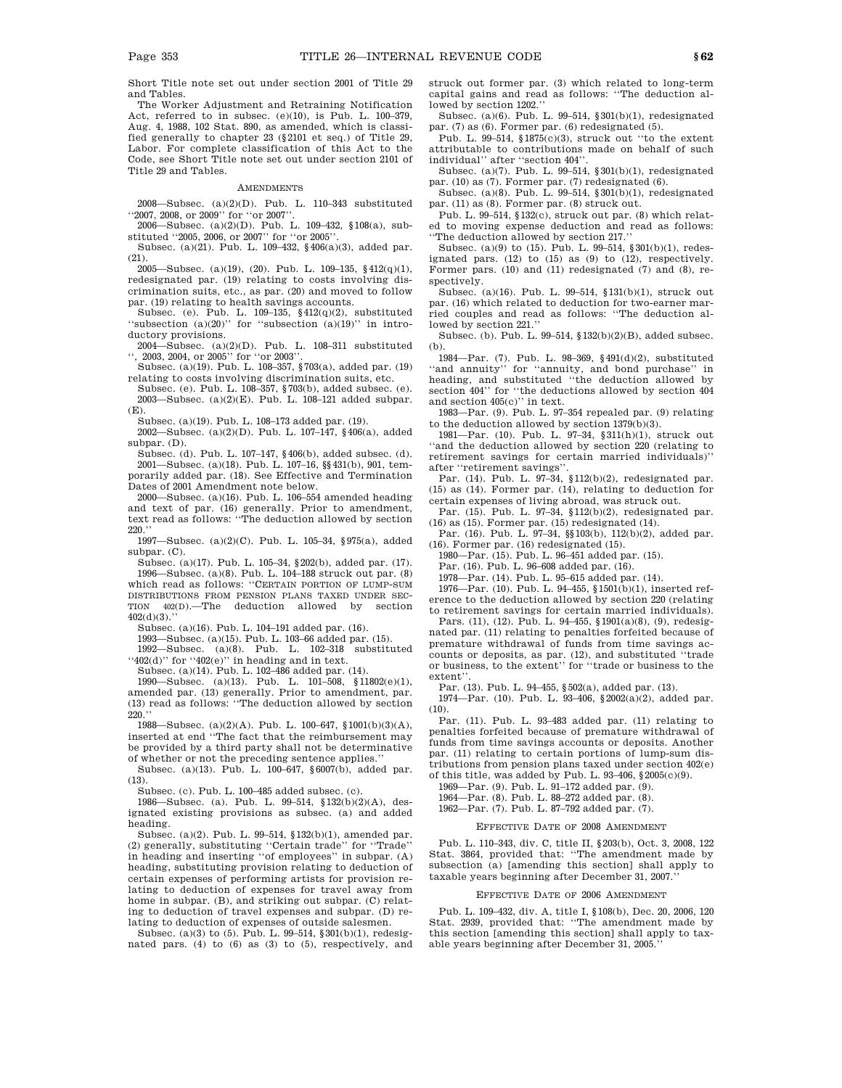Short Title note set out under section 2001 of Title 29 and Tables.

The Worker Adjustment and Retraining Notification Act, referred to in subsec. (e)(10), is Pub. L. 100–379, Aug. 4, 1988, 102 Stat. 890, as amended, which is classified generally to chapter 23 (§2101 et seq.) of Title 29, Labor. For complete classification of this Act to the Code, see Short Title note set out under section 2101 of Title 29 and Tables.

#### **AMENDMENTS**

2008—Subsec. (a)(2)(D). Pub. L. 110–343 substituted ''2007, 2008, or 2009'' for ''or 2007''.

2006—Subsec. (a)(2)(D). Pub. L. 109–432, §108(a), substituted ''2005, 2006, or 2007'' for ''or 2005''

Subsec. (a)(21). Pub. L. 109–432, §406(a)(3), added par. (21).

2005—Subsec. (a)(19), (20). Pub. L. 109–135,  $§412(q)(1)$ , redesignated par. (19) relating to costs involving discrimination suits, etc., as par. (20) and moved to follow par. (19) relating to health savings accounts.

Subsec. (e). Pub. L. 109-135,  $\frac{12}{q(2)}$ , substituted "subsection  $(a)(20)$ " for "subsection  $(a)(19)$ " in introductory provisions.

2004—Subsec. (a)(2)(D). Pub. L. 108–311 substituted '', 2003, 2004, or 2005'' for ''or 2003''.

Subsec. (a)(19). Pub. L. 108–357, §703(a), added par. (19) relating to costs involving discrimination suits, etc.

Subsec. (e). Pub. L. 108–357, §703(b), added subsec. (e). 2003—Subsec. (a)(2)(E). Pub. L. 108–121 added subpar. (E).

Subsec. (a)(19). Pub. L. 108–173 added par. (19).

2002—Subsec. (a)(2)(D). Pub. L. 107–147, §406(a), added subpar. (D).

Subsec. (d). Pub. L. 107–147, §406(b), added subsec. (d). 2001—Subsec. (a)(18). Pub. L. 107–16, §§431(b), 901, temporarily added par. (18). See Effective and Termination Dates of 2001 Amendment note below.

2000—Subsec. (a)(16). Pub. L. 106–554 amended heading and text of par. (16) generally. Prior to amendment, text read as follows: ''The deduction allowed by section 220.''

1997—Subsec. (a)(2)(C). Pub. L. 105–34, §975(a), added subpar. (C).

Subsec. (a)(17). Pub. L. 105–34, §202(b), added par. (17). 1996—Subsec. (a)(8). Pub. L. 104–188 struck out par. (8) which read as follows: ''CERTAIN PORTION OF LUMP-SUM DISTRIBUTIONS FROM PENSION PLANS TAXED UNDER SEC-TION 402(D).—The deduction allowed by section  $402(d)(3)$ .

Subsec. (a)(16). Pub. L. 104–191 added par. (16).

1993—Subsec. (a)(15). Pub. L. 103–66 added par. (15).

1992—Subsec. (a)(8). Pub. L. 102–318 substituted  $``402(d)"$  for  $``402(e)"$  in heading and in text.

Subsec. (a)(14). Pub. L. 102–486 added par. (14).

1990—Subsec. (a)(13). Pub. L. 101–508, §11802(e)(1), amended par. (13) generally. Prior to amendment, par. (13) read as follows: ''The deduction allowed by section  $220.$ ''

1988—Subsec. (a)(2)(A). Pub. L. 100–647, §1001(b)(3)(A), inserted at end ''The fact that the reimbursement may be provided by a third party shall not be determinative of whether or not the preceding sentence applies.''

Subsec. (a)(13). Pub. L. 100–647, §6007(b), added par. (13).

Subsec. (c). Pub. L. 100–485 added subsec. (c).

1986—Subsec. (a). Pub. L. 99–514, §132(b)(2)(A), designated existing provisions as subsec. (a) and added heading.

Subsec. (a)(2). Pub. L. 99–514, §132(b)(1), amended par. (2) generally, substituting ''Certain trade'' for ''Trade'' in heading and inserting ''of employees'' in subpar. (A) heading, substituting provision relating to deduction of certain expenses of performing artists for provision relating to deduction of expenses for travel away from home in subpar. (B), and striking out subpar. (C) relating to deduction of travel expenses and subpar. (D) relating to deduction of expenses of outside salesmen.

Subsec. (a)(3) to (5). Pub. L. 99–514, §301(b)(1), redesignated pars. (4) to (6) as (3) to (5), respectively, and struck out former par. (3) which related to long-term capital gains and read as follows: ''The deduction allowed by section 1202.''

Subsec. (a)(6). Pub. L. 99–514, §301(b)(1), redesignated par. (7) as (6). Former par. (6) redesignated (5).

Pub. L. 99–514, §1875(c)(3), struck out ''to the extent attributable to contributions made on behalf of such individual'' after ''section 404''.

Subsec. (a)(7). Pub. L. 99–514, §301(b)(1), redesignated par. (10) as (7). Former par. (7) redesignated (6).

Subsec. (a)(8). Pub. L. 99–514, §301(b)(1), redesignated par. (11) as (8). Former par. (8) struck out.

Pub. L. 99–514, §132(c), struck out par. (8) which related to moving expense deduction and read as follows: ''The deduction allowed by section 217.''

Subsec. (a)(9) to (15). Pub. L. 99–514, §301(b)(1), redesignated pars.  $(12)$  to  $(15)$  as  $(9)$  to  $(12)$ , respectively. Former pars. (10) and (11) redesignated (7) and (8), respectively.

Subsec. (a)(16). Pub. L. 99–514, §131(b)(1), struck out par. (16) which related to deduction for two-earner married couples and read as follows: ''The deduction allowed by section 221.''

Subsec. (b). Pub. L. 99–514, §132(b)(2)(B), added subsec. (b).

1984—Par. (7). Pub. L. 98–369, §491(d)(2), substituted ''and annuity'' for ''annuity, and bond purchase'' in heading, and substituted ''the deduction allowed by section 404'' for ''the deductions allowed by section 404 and section 405(c)'' in text.

1983—Par. (9). Pub. L. 97–354 repealed par. (9) relating to the deduction allowed by section 1379(b)(3).

1981—Par. (10). Pub. L. 97–34, §311(h)(1), struck out ''and the deduction allowed by section 220 (relating to retirement savings for certain married individuals)'' after ''retirement savings''.

Par. (14). Pub. L. 97–34, §112(b)(2), redesignated par. (15) as (14). Former par. (14), relating to deduction for certain expenses of living abroad, was struck out.

Par. (15). Pub. L. 97-34, §112(b)(2), redesignated par. (16) as (15). Former par. (15) redesignated (14).

Par. (16). Pub. L. 97–34, §§103(b), 112(b)(2), added par. (16). Former par. (16) redesignated (15).

1980—Par. (15). Pub. L. 96–451 added par. (15).

Par. (16). Pub. L. 96–608 added par. (16).

1978—Par. (14). Pub. L. 95–615 added par. (14).

1976—Par. (10). Pub. L. 94–455, §1501(b)(1), inserted ref-

erence to the deduction allowed by section 220 (relating to retirement savings for certain married individuals).

Pars. (11), (12). Pub. L. 94–455, §1901(a)(8), (9), redesignated par. (11) relating to penalties forfeited because of premature withdrawal of funds from time savings accounts or deposits, as par. (12), and substituted ''trade or business, to the extent'' for ''trade or business to the extent''.

Par. (13). Pub. L. 94–455, §502(a), added par. (13).

1974—Par. (10). Pub. L. 93–406, §2002(a)(2), added par.  $(10).$ 

Par. (11). Pub. L. 93–483 added par. (11) relating to penalties forfeited because of premature withdrawal of funds from time savings accounts or deposits. Another par. (11) relating to certain portions of lump-sum distributions from pension plans taxed under section 402(e) of this title, was added by Pub. L. 93–406, §2005(c)(9).

1969—Par. (9). Pub. L. 91–172 added par. (9).

1964—Par. (8). Pub. L. 88–272 added par. (8).

1962—Par. (7). Pub. L. 87–792 added par. (7).

#### EFFECTIVE DATE OF 2008 AMENDMENT

Pub. L. 110–343, div. C, title II, §203(b), Oct. 3, 2008, 122 Stat. 3864, provided that: ''The amendment made by subsection (a) [amending this section] shall apply to taxable years beginning after December 31, 2007.''

#### EFFECTIVE DATE OF 2006 AMENDMENT

Pub. L. 109–432, div. A, title I, §108(b), Dec. 20, 2006, 120 Stat. 2939, provided that: ''The amendment made by this section [amending this section] shall apply to taxable years beginning after December 31, 2005.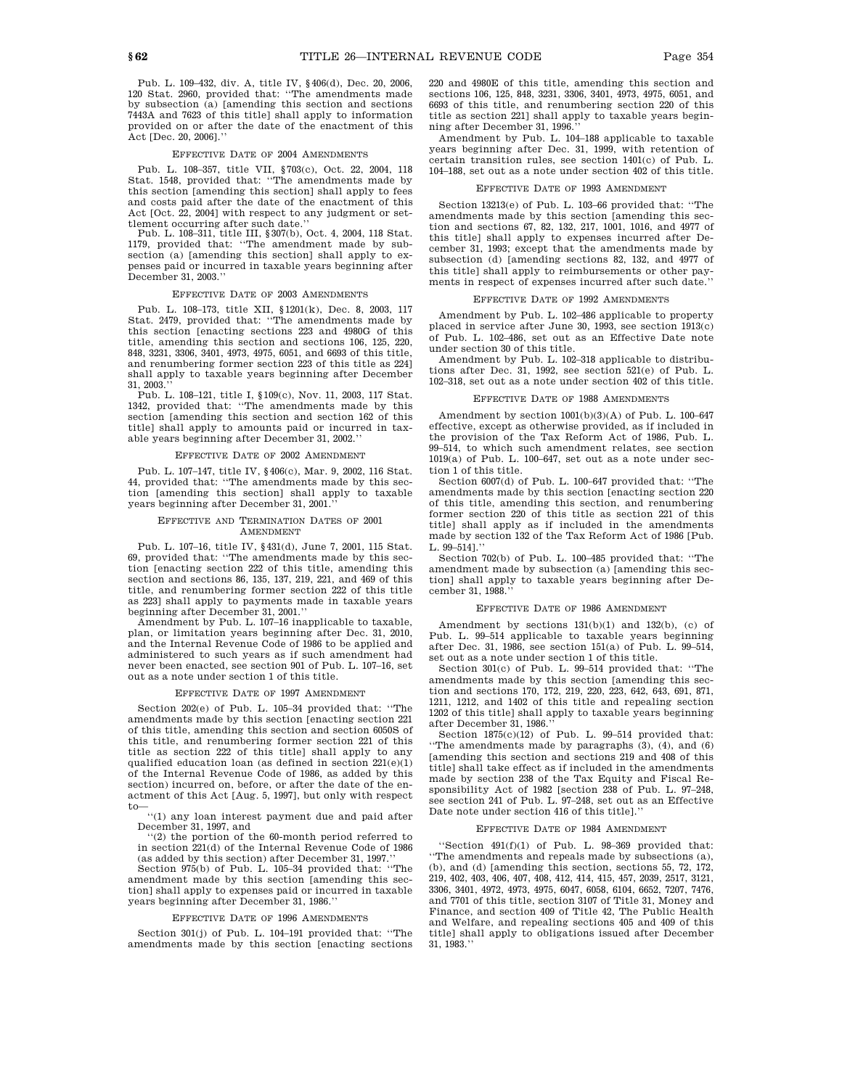Pub. L. 109–432, div. A, title IV, §406(d), Dec. 20, 2006, 120 Stat. 2960, provided that: ''The amendments made by subsection (a) [amending this section and sections 7443A and 7623 of this title] shall apply to information provided on or after the date of the enactment of this Act [Dec. 20, 2006].''

#### EFFECTIVE DATE OF 2004 AMENDMENTS

Pub. L. 108–357, title VII, §703(c), Oct. 22, 2004, 118 Stat. 1548, provided that: ''The amendments made by this section [amending this section] shall apply to fees and costs paid after the date of the enactment of this Act [Oct. 22, 2004] with respect to any judgment or settlement occurring after such date.''

Pub. L. 108–311, title III, §307(b), Oct. 4, 2004, 118 Stat. 1179, provided that: ''The amendment made by subsection (a) [amending this section] shall apply to expenses paid or incurred in taxable years beginning after December 31, 2003.''

### EFFECTIVE DATE OF 2003 AMENDMENTS

Pub. L. 108–173, title XII, §1201(k), Dec. 8, 2003, 117 Stat. 2479, provided that: ''The amendments made by this section [enacting sections 223 and 4980G of this title, amending this section and sections 106, 125, 220, 848, 3231, 3306, 3401, 4973, 4975, 6051, and 6693 of this title, and renumbering former section 223 of this title as 224] shall apply to taxable years beginning after December 31, 2003.''

Pub. L. 108–121, title I, §109(c), Nov. 11, 2003, 117 Stat. 1342, provided that: ''The amendments made by this section [amending this section and section 162 of this title] shall apply to amounts paid or incurred in taxable years beginning after December 31, 2002.''

### EFFECTIVE DATE OF 2002 AMENDMENT

Pub. L. 107–147, title IV, §406(c), Mar. 9, 2002, 116 Stat. 44, provided that: ''The amendments made by this section [amending this section] shall apply to taxable years beginning after December 31, 2001.''

#### EFFECTIVE AND TERMINATION DATES OF 2001 AMENDMENT

Pub. L. 107–16, title IV, §431(d), June 7, 2001, 115 Stat. 69, provided that: ''The amendments made by this section [enacting section 222 of this title, amending this section and sections 86, 135, 137, 219, 221, and 469 of this title, and renumbering former section 222 of this title as 223] shall apply to payments made in taxable years beginning after December 31, 2001.''

Amendment by Pub. L. 107–16 inapplicable to taxable, plan, or limitation years beginning after Dec. 31, 2010, and the Internal Revenue Code of 1986 to be applied and administered to such years as if such amendment had never been enacted, see section 901 of Pub. L. 107–16, set out as a note under section 1 of this title.

### EFFECTIVE DATE OF 1997 AMENDMENT

Section 202(e) of Pub. L. 105–34 provided that: ''The amendments made by this section [enacting section 221 of this title, amending this section and section 6050S of this title, and renumbering former section 221 of this title as section 222 of this title] shall apply to any qualified education loan (as defined in section  $221(e)(1)$ <br>of the Internal Revenue Code of 1986, as added by this section) incurred on, before, or after the date of the en-actment of this Act [Aug. 5, 1997], but only with respect to—

''(1) any loan interest payment due and paid after December 31, 1997, and

''(2) the portion of the 60-month period referred to in section 221(d) of the Internal Revenue Code of 1986

(as added by this section) after December 31, 1997.'' Section 975(b) of Pub. L. 105–34 provided that: ''The amendment made by this section [amending this section] shall apply to expenses paid or incurred in taxable years beginning after December 31, 1986.''

#### EFFECTIVE DATE OF 1996 AMENDMENTS

Section 301(j) of Pub. L. 104–191 provided that: ''The amendments made by this section [enacting sections 220 and 4980E of this title, amending this section and sections 106, 125, 848, 3231, 3306, 3401, 4973, 4975, 6051, and 6693 of this title, and renumbering section 220 of this title as section 221] shall apply to taxable years beginning after December 31, 1996.''

Amendment by Pub. L. 104–188 applicable to taxable years beginning after Dec. 31, 1999, with retention of certain transition rules, see section 1401(c) of Pub. L. 104–188, set out as a note under section 402 of this title.

#### EFFECTIVE DATE OF 1993 AMENDMENT

Section 13213(e) of Pub. L. 103–66 provided that: ''The amendments made by this section [amending this section and sections 67, 82, 132, 217, 1001, 1016, and 4977 of this title] shall apply to expenses incurred after December 31, 1993; except that the amendments made by subsection (d) [amending sections 82, 132, and 4977 of this title] shall apply to reimbursements or other payments in respect of expenses incurred after such date.''

#### EFFECTIVE DATE OF 1992 AMENDMENTS

Amendment by Pub. L. 102–486 applicable to property placed in service after June 30, 1993, see section 1913(c) of Pub. L. 102–486, set out as an Effective Date note under section 30 of this title.

Amendment by Pub. L. 102–318 applicable to distributions after Dec. 31, 1992, see section 521(e) of Pub. L. 102–318, set out as a note under section 402 of this title.

### FFECTIVE DATE OF 1988 AMENDMENT

Amendment by section 1001(b)(3)(A) of Pub. L. 100–647 effective, except as otherwise provided, as if included in the provision of the Tax Reform Act of 1986, Pub. L. 99–514, to which such amendment relates, see section 1019(a) of Pub. L. 100–647, set out as a note under section 1 of this title.

Section 6007(d) of Pub. L. 100–647 provided that: ''The amendments made by this section [enacting section 220 of this title, amending this section, and renumbering former section 220 of this title as section 221 of this title] shall apply as if included in the amendments made by section 132 of the Tax Reform Act of 1986 [Pub. L. 99–514].''

Section 702(b) of Pub. L. 100–485 provided that: ''The amendment made by subsection (a) [amending this section] shall apply to taxable years beginning after December 31, 1988.''

#### EFFECTIVE DATE OF 1986 AMENDMENT

Amendment by sections  $131(b)(1)$  and  $132(b)$ , (c) of Pub. L. 99–514 applicable to taxable years beginning after Dec. 31, 1986, see section 151(a) of Pub. L. 99–514, set out as a note under section 1 of this title.

Section 301(c) of Pub. L. 99–514 provided that: ''The amendments made by this section [amending this section and sections 170, 172, 219, 220, 223, 642, 643, 691, 871, 1211, 1212, and 1402 of this title and repealing section 1202 of this title] shall apply to taxable years beginning after December 31, 1986.''

Section  $1875(c)(12)$  of Pub. L. 99-514 provided that: ''The amendments made by paragraphs (3), (4), and (6) [amending this section and sections 219 and 408 of this title] shall take effect as if included in the amendments made by section 238 of the Tax Equity and Fiscal Responsibility Act of 1982 [section 238 of Pub. L. 97–248, see section 241 of Pub. L. 97–248, set out as an Effective Date note under section 416 of this title].''

### EFFECTIVE DATE OF 1984 AMENDMENT

''Section 491(f)(1) of Pub. L. 98–369 provided that: ''The amendments and repeals made by subsections (a), (b), and (d) [amending this section, sections 55, 72, 172, 219, 402, 403, 406, 407, 408, 412, 414, 415, 457, 2039, 2517, 3121, 3306, 3401, 4972, 4973, 4975, 6047, 6058, 6104, 6652, 7207, 7476, and 7701 of this title, section 3107 of Title 31, Money and Finance, and section 409 of Title 42, The Public Health and Welfare, and repealing sections 405 and 409 of this title] shall apply to obligations issued after December 31, 1983.''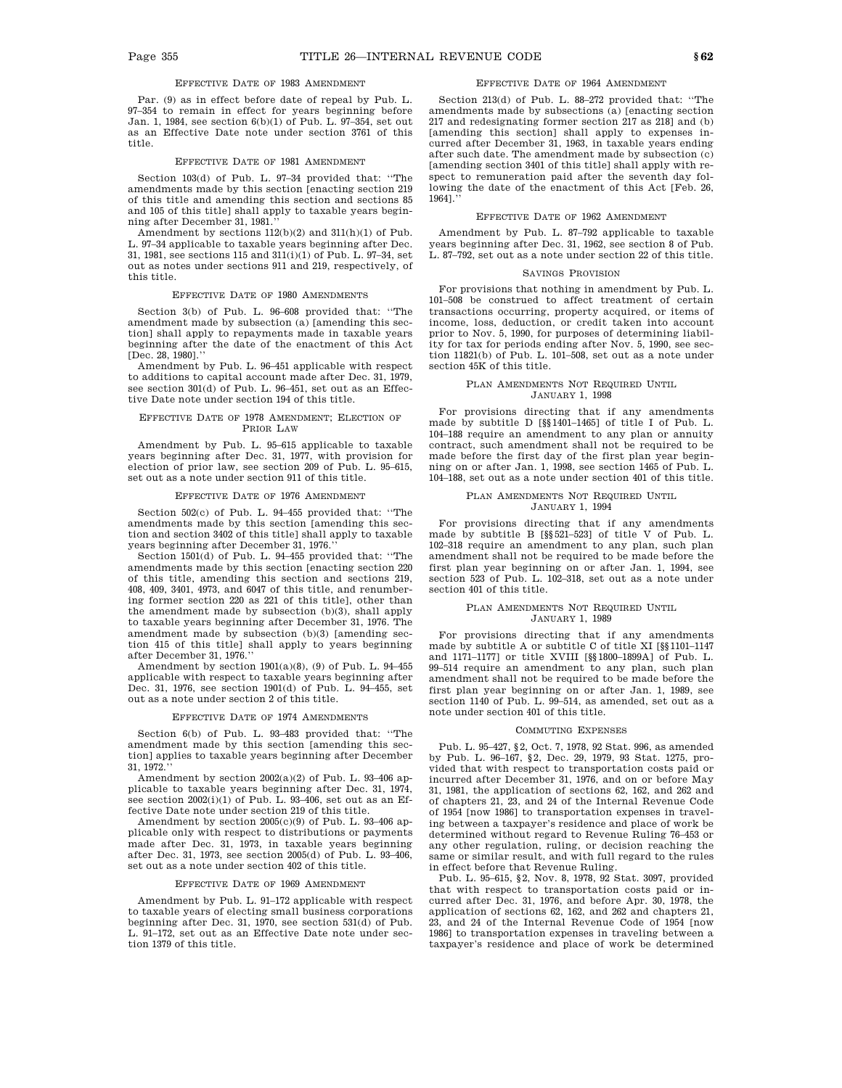Par. (9) as in effect before date of repeal by Pub. L. 97–354 to remain in effect for years beginning before Jan. 1, 1984, see section 6(b)(1) of Pub. L. 97–354, set out as an Effective Date note under section 3761 of this title.

#### EFFECTIVE DATE OF 1981 AMENDMENT

Section 103(d) of Pub. L. 97–34 provided that: ''The amendments made by this section [enacting section 219 of this title and amending this section and sections 85 and 105 of this title] shall apply to taxable years beginning after December 31, 1981.''

Amendment by sections  $112(b)(2)$  and  $311(h)(1)$  of Pub. L. 97–34 applicable to taxable years beginning after Dec. 31, 1981, see sections 115 and 311(i)(1) of Pub. L. 97–34, set out as notes under sections 911 and 219, respectively, of this title.

#### EFFECTIVE DATE OF 1980 AMENDMENTS

Section 3(b) of Pub. L. 96–608 provided that: ''The amendment made by subsection (a) [amending this section] shall apply to repayments made in taxable years beginning after the date of the enactment of this Act [Dec. 28, 1980].''

Amendment by Pub. L. 96–451 applicable with respect to additions to capital account made after Dec. 31, 1979, see section 301(d) of Pub. L. 96–451, set out as an Effective Date note under section 194 of this title.

#### EFFECTIVE DATE OF 1978 AMENDMENT; ELECTION OF PRIOR LAW

Amendment by Pub. L. 95–615 applicable to taxable years beginning after Dec. 31, 1977, with provision for election of prior law, see section 209 of Pub. L. 95–615, set out as a note under section 911 of this title.

# EFFECTIVE DATE OF 1976 AMENDMENT

Section 502(c) of Pub. L. 94–455 provided that: ''The amendments made by this section [amending this section and section 3402 of this title] shall apply to taxable years beginning after December 31, 1976.''

Section 1501(d) of Pub. L. 94–455 provided that: "The amendments made by this section [enacting section 220 of this title, amending this section and sections 219, 408, 409, 3401, 4973, and 6047 of this title, and renumbering former section 220 as 221 of this title], other than the amendment made by subsection (b)(3), shall apply to taxable years beginning after December 31, 1976. The amendment made by subsection (b)(3) [amending section 415 of this title] shall apply to years beginning after December 31, 1976.''

Amendment by section 1901(a)(8), (9) of Pub. L. 94–455 applicable with respect to taxable years beginning after Dec. 31, 1976, see section 1901(d) of Pub. L. 94–455, set out as a note under section 2 of this title.

#### EFFECTIVE DATE OF 1974 AMENDMENTS

Section 6(b) of Pub. L. 93–483 provided that: ''The amendment made by this section [amending this section] applies to taxable years beginning after December 31, 1972.''

Amendment by section  $2002(a)(2)$  of Pub. L. 93-406 applicable to taxable years beginning after Dec. 31, 1974, see section 2002(i)(1) of Pub. L. 93–406, set out as an Effective Date note under section 219 of this title.

Amendment by section 2005(c)(9) of Pub. L. 93–406 applicable only with respect to distributions or payments made after Dec. 31, 1973, in taxable years beginning after Dec. 31, 1973, see section 2005(d) of Pub. L. 93–406, set out as a note under section 402 of this title.

#### EFFECTIVE DATE OF 1969 AMENDMENT

Amendment by Pub. L. 91–172 applicable with respect to taxable years of electing small business corporations beginning after Dec. 31, 1970, see section 531(d) of Pub. L. 91–172, set out as an Effective Date note under section 1379 of this title.

### EFFECTIVE DATE OF 1964 AMENDMENT

Section 213(d) of Pub. L. 88–272 provided that: ''The amendments made by subsections (a) [enacting section 217 and redesignating former section 217 as 218] and (b) [amending this section] shall apply to expenses incurred after December 31, 1963, in taxable years ending after such date. The amendment made by subsection (c) [amending section 3401 of this title] shall apply with respect to remuneration paid after the seventh day following the date of the enactment of this Act [Feb. 26, 1964].''

#### EFFECTIVE DATE OF 1962 AMENDMENT

Amendment by Pub. L. 87–792 applicable to taxable years beginning after Dec. 31, 1962, see section 8 of Pub. L. 87–792, set out as a note under section 22 of this title.

# SAVINGS PROVISION

For provisions that nothing in amendment by Pub. L. 101–508 be construed to affect treatment of certain transactions occurring, property acquired, or items of income, loss, deduction, or credit taken into account prior to Nov. 5, 1990, for purposes of determining liability for tax for periods ending after Nov. 5, 1990, see section 11821(b) of Pub. L. 101–508, set out as a note under section 45K of this title.

#### PLAN AMENDMENTS NOT REQUIRED UNTIL JANUARY 1, 1998

For provisions directing that if any amendments made by subtitle D [§§1401–1465] of title I of Pub. L. 104–188 require an amendment to any plan or annuity contract, such amendment shall not be required to be made before the first day of the first plan year beginning on or after Jan. 1, 1998, see section 1465 of Pub. L. 104–188, set out as a note under section 401 of this title.

### PLAN AMENDMENTS NOT REQUIRED UNTIL JANUARY 1, 1994

For provisions directing that if any amendments made by subtitle B [§§521–523] of title V of Pub. L. 102–318 require an amendment to any plan, such plan amendment shall not be required to be made before the first plan year beginning on or after Jan. 1, 1994, see section 523 of Pub. L. 102–318, set out as a note under section 401 of this title.

### PLAN AMENDMENTS NOT REQUIRED UNTIL JANUARY 1, 1989

For provisions directing that if any amendments made by subtitle A or subtitle C of title XI [§§1101–1147 and 1171–1177] or title XVIII [§§1800–1899A] of Pub. L. 99–514 require an amendment to any plan, such plan amendment shall not be required to be made before the first plan year beginning on or after Jan. 1, 1989, see section 1140 of Pub. L. 99–514, as amended, set out as a note under section 401 of this title.

#### COMMUTING EXPENSES

Pub. L. 95–427, §2, Oct. 7, 1978, 92 Stat. 996, as amended by Pub. L. 96–167, §2, Dec. 29, 1979, 93 Stat. 1275, provided that with respect to transportation costs paid or incurred after December 31, 1976, and on or before May 31, 1981, the application of sections 62, 162, and 262 and of chapters 21, 23, and 24 of the Internal Revenue Code of 1954 [now 1986] to transportation expenses in traveling between a taxpayer's residence and place of work be determined without regard to Revenue Ruling 76–453 or any other regulation, ruling, or decision reaching the same or similar result, and with full regard to the rules in effect before that Revenue Ruling.

Pub. L. 95–615, §2, Nov. 8, 1978, 92 Stat. 3097, provided that with respect to transportation costs paid or incurred after Dec. 31, 1976, and before Apr. 30, 1978, the application of sections 62, 162, and 262 and chapters 21, 23, and 24 of the Internal Revenue Code of 1954 [now 1986] to transportation expenses in traveling between a taxpayer's residence and place of work be determined